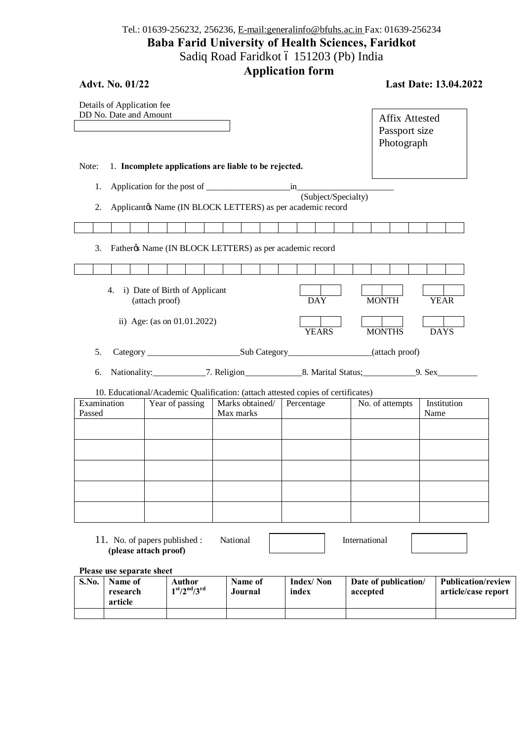## Tel.: 01639-256232, 256236, E-mail:generalinfo@bfuhs.ac.in Fax: 01639-256234 **Baba Farid University of Health Sciences, Faridkot** Sadiq Road Faridkot ó 151203 (Pb) India

**Application form** 

| <b>Advt. No. 01/22</b>                                 |                                                    |                                                         |                                                                                                |                 | <b>Last Date: 13.04.2022</b> |
|--------------------------------------------------------|----------------------------------------------------|---------------------------------------------------------|------------------------------------------------------------------------------------------------|-----------------|------------------------------|
| Details of Application fee<br>DD No. Date and Amount   |                                                    |                                                         | <b>Affix Attested</b><br>Passport size<br>Photograph                                           |                 |                              |
| Note:                                                  |                                                    | 1. Incomplete applications are liable to be rejected.   |                                                                                                |                 |                              |
| 1.                                                     |                                                    |                                                         |                                                                                                |                 |                              |
| 2.                                                     |                                                    |                                                         | (Subject/Specialty)<br>Applicantøs Name (IN BLOCK LETTERS) as per academic record              |                 |                              |
|                                                        |                                                    |                                                         |                                                                                                |                 |                              |
| 3.                                                     |                                                    | Fatherøs Name (IN BLOCK LETTERS) as per academic record |                                                                                                |                 |                              |
|                                                        |                                                    |                                                         |                                                                                                |                 |                              |
|                                                        | 4. i) Date of Birth of Applicant<br>(attach proof) | <b>DAY</b>                                              | <b>MONTH</b>                                                                                   | <b>YEAR</b>     |                              |
| ii) Age: (as on 01.01.2022)                            |                                                    |                                                         | <b>YEARS</b>                                                                                   | <b>MONTHS</b>   | <b>DAYS</b>                  |
| 5.                                                     |                                                    |                                                         |                                                                                                |                 |                              |
| 6.                                                     |                                                    |                                                         |                                                                                                |                 |                              |
| Examination                                            | Year of passing                                    | Marks obtained/                                         | 10. Educational/Academic Qualification: (attach attested copies of certificates)<br>Percentage | No. of attempts | Institution                  |
| Passed                                                 |                                                    | Max marks                                               |                                                                                                |                 | Name                         |
|                                                        |                                                    |                                                         |                                                                                                |                 |                              |
|                                                        |                                                    |                                                         |                                                                                                |                 |                              |
|                                                        |                                                    |                                                         |                                                                                                |                 |                              |
|                                                        |                                                    |                                                         |                                                                                                |                 |                              |
|                                                        |                                                    |                                                         |                                                                                                |                 |                              |
| 11. No. of papers published :<br>(please attach proof) |                                                    | National                                                |                                                                                                | International   |                              |
| Please use separate sheet                              |                                                    |                                                         |                                                                                                |                 |                              |

| S.No. | Name of<br>research<br>article | Author<br>$1st/2nd/3rd$ | Name of<br>Journal | Index/Non<br>index | Date of publication/<br>accepted | Publication/review<br>article/case report |
|-------|--------------------------------|-------------------------|--------------------|--------------------|----------------------------------|-------------------------------------------|
|       |                                |                         |                    |                    |                                  |                                           |